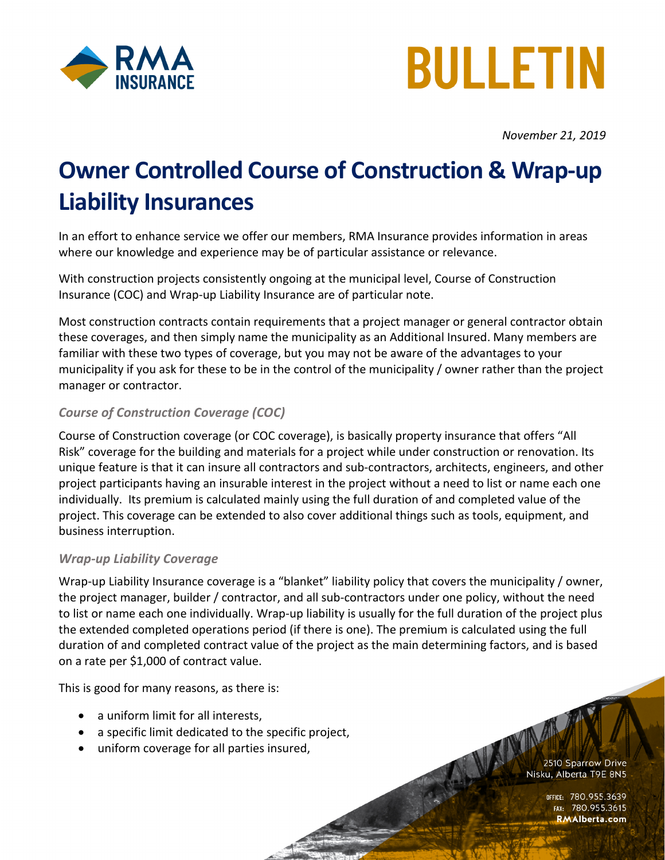



*November 21, 2019*

## **Owner Controlled Course of Construction & Wrap-up Liability Insurances**

In an effort to enhance service we offer our members, RMA Insurance provides information in areas where our knowledge and experience may be of particular assistance or relevance.

With construction projects consistently ongoing at the municipal level, Course of Construction Insurance (COC) and Wrap-up Liability Insurance are of particular note.

Most construction contracts contain requirements that a project manager or general contractor obtain these coverages, and then simply name the municipality as an Additional Insured. Many members are familiar with these two types of coverage, but you may not be aware of the advantages to your municipality if you ask for these to be in the control of the municipality / owner rather than the project manager or contractor.

## *Course of Construction Coverage (COC)*

Course of Construction coverage (or COC coverage), is basically property insurance that offers "All Risk" coverage for the building and materials for a project while under construction or renovation. Its unique feature is that it can insure all contractors and sub-contractors, architects, engineers, and other project participants having an insurable interest in the project without a need to list or name each one individually. Its premium is calculated mainly using the full duration of and completed value of the project. This coverage can be extended to also cover additional things such as tools, equipment, and business interruption.

## *Wrap-up Liability Coverage*

Wrap-up Liability Insurance coverage is a "blanket" liability policy that covers the municipality / owner, the project manager, builder / contractor, and all sub-contractors under one policy, without the need to list or name each one individually. Wrap-up liability is usually for the full duration of the project plus the extended completed operations period (if there is one). The premium is calculated using the full duration of and completed contract value of the project as the main determining factors, and is based on a rate per \$1,000 of contract value.

This is good for many reasons, as there is:

- a uniform limit for all interests,
- a specific limit dedicated to the specific project,
- uniform coverage for all parties insured,

ALAND 2510 Sparrow Drive Nisku, Alberta T9E 8N5

> office: 780.955.3639<br>Fax: 780.955.3615 **RMAlberta.com**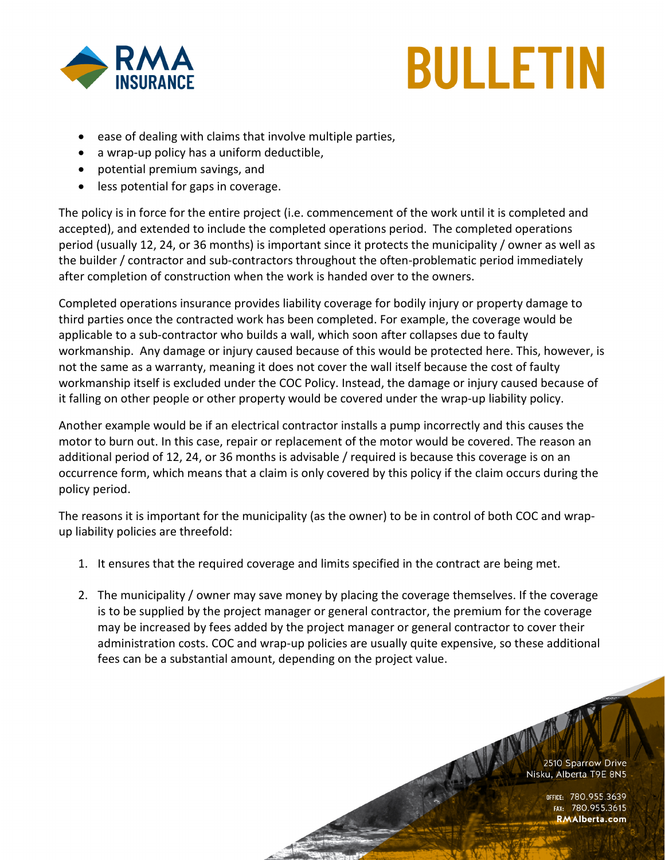

## **BULLETIN**

- ease of dealing with claims that involve multiple parties,
- a wrap-up policy has a uniform deductible,
- potential premium savings, and
- less potential for gaps in coverage.

The policy is in force for the entire project (i.e. commencement of the work until it is completed and accepted), and extended to include the completed operations period. The completed operations period (usually 12, 24, or 36 months) is important since it protects the municipality / owner as well as the builder / contractor and sub-contractors throughout the often-problematic period immediately after completion of construction when the work is handed over to the owners.

Completed operations insurance provides liability coverage for bodily injury or property damage to third parties once the contracted work has been completed. For example, the coverage would be applicable to a sub-contractor who builds a wall, which soon after collapses due to faulty workmanship. Any damage or injury caused because of this would be protected here. This, however, is not the same as a warranty, meaning it does not cover the wall itself because the cost of faulty workmanship itself is excluded under the COC Policy. Instead, the damage or injury caused because of it falling on other people or other property would be covered under the wrap-up liability policy.

Another example would be if an electrical contractor installs a pump incorrectly and this causes the motor to burn out. In this case, repair or replacement of the motor would be covered. The reason an additional period of 12, 24, or 36 months is advisable / required is because this coverage is on an occurrence form, which means that a claim is only covered by this policy if the claim occurs during the policy period.

The reasons it is important for the municipality (as the owner) to be in control of both COC and wrapup liability policies are threefold:

- 1. It ensures that the required coverage and limits specified in the contract are being met.
- 2. The municipality / owner may save money by placing the coverage themselves. If the coverage is to be supplied by the project manager or general contractor, the premium for the coverage may be increased by fees added by the project manager or general contractor to cover their administration costs. COC and wrap-up policies are usually quite expensive, so these additional fees can be a substantial amount, depending on the project value.

ALLAND 2510 Sparrow Drive Nisku, Alberta T9E 8N5

> office: 780.955,3639<br>156.780.955 rax: 780 **RMAlberta.com**